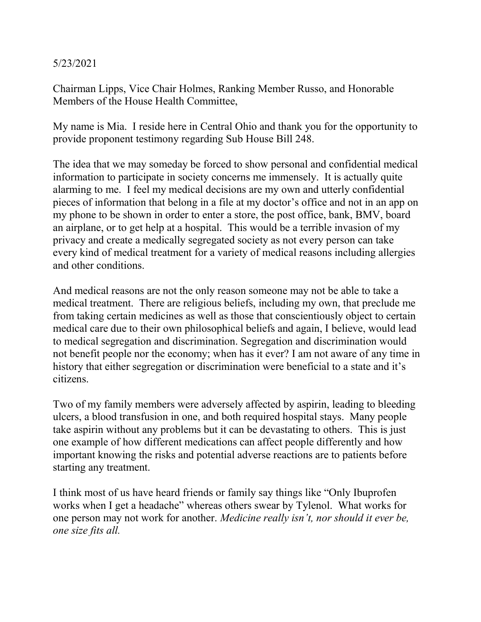## 5/23/2021

Chairman Lipps, Vice Chair Holmes, Ranking Member Russo, and Honorable Members of the House Health Committee,

My name is Mia. I reside here in Central Ohio and thank you for the opportunity to provide proponent testimony regarding Sub House Bill 248.

The idea that we may someday be forced to show personal and confidential medical information to participate in society concerns me immensely. It is actually quite alarming to me. I feel my medical decisions are my own and utterly confidential pieces of information that belong in a file at my doctor's office and not in an app on my phone to be shown in order to enter a store, the post office, bank, BMV, board an airplane, or to get help at a hospital. This would be a terrible invasion of my privacy and create a medically segregated society as not every person can take every kind of medical treatment for a variety of medical reasons including allergies and other conditions.

And medical reasons are not the only reason someone may not be able to take a medical treatment. There are religious beliefs, including my own, that preclude me from taking certain medicines as well as those that conscientiously object to certain medical care due to their own philosophical beliefs and again, I believe, would lead to medical segregation and discrimination. Segregation and discrimination would not benefit people nor the economy; when has it ever? I am not aware of any time in history that either segregation or discrimination were beneficial to a state and it's citizens.

Two of my family members were adversely affected by aspirin, leading to bleeding ulcers, a blood transfusion in one, and both required hospital stays. Many people take aspirin without any problems but it can be devastating to others. This is just one example of how different medications can affect people differently and how important knowing the risks and potential adverse reactions are to patients before starting any treatment.

I think most of us have heard friends or family say things like "Only Ibuprofen works when I get a headache" whereas others swear by Tylenol. What works for one person may not work for another. Medicine really isn't, nor should it ever be, one size fits all.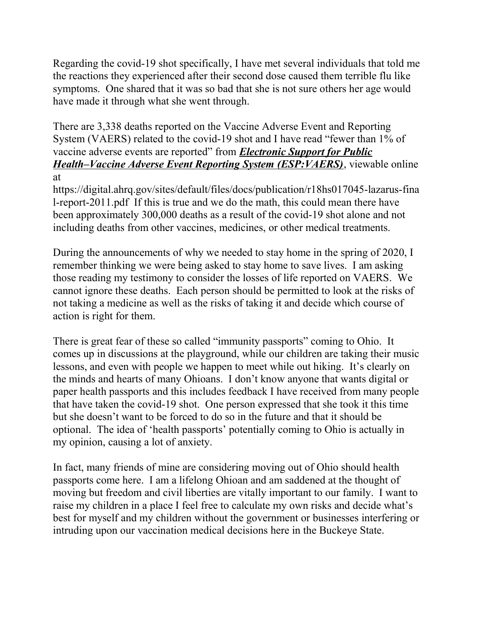Regarding the covid-19 shot specifically, I have met several individuals that told me the reactions they experienced after their second dose caused them terrible flu like symptoms. One shared that it was so bad that she is not sure others her age would have made it through what she went through.

There are 3,338 deaths reported on the Vaccine Adverse Event and Reporting System (VAERS) related to the covid-19 shot and I have read "fewer than 1% of vaccine adverse events are reported" from *Electronic Support for Public* Health–Vaccine Adverse Event Reporting System (ESP: VAERS), viewable online at

https://digital.ahrq.gov/sites/default/files/docs/publication/r18hs017045-lazarus-fina l-report-2011.pdf If this is true and we do the math, this could mean there have been approximately 300,000 deaths as a result of the covid-19 shot alone and not including deaths from other vaccines, medicines, or other medical treatments.

During the announcements of why we needed to stay home in the spring of 2020, I remember thinking we were being asked to stay home to save lives. I am asking those reading my testimony to consider the losses of life reported on VAERS. We cannot ignore these deaths. Each person should be permitted to look at the risks of not taking a medicine as well as the risks of taking it and decide which course of action is right for them.

There is great fear of these so called "immunity passports" coming to Ohio. It comes up in discussions at the playground, while our children are taking their music lessons, and even with people we happen to meet while out hiking. It's clearly on the minds and hearts of many Ohioans. I don't know anyone that wants digital or paper health passports and this includes feedback I have received from many people that have taken the covid-19 shot. One person expressed that she took it this time but she doesn't want to be forced to do so in the future and that it should be optional. The idea of 'health passports' potentially coming to Ohio is actually in my opinion, causing a lot of anxiety.

In fact, many friends of mine are considering moving out of Ohio should health passports come here. I am a lifelong Ohioan and am saddened at the thought of moving but freedom and civil liberties are vitally important to our family. I want to raise my children in a place I feel free to calculate my own risks and decide what's best for myself and my children without the government or businesses interfering or intruding upon our vaccination medical decisions here in the Buckeye State.